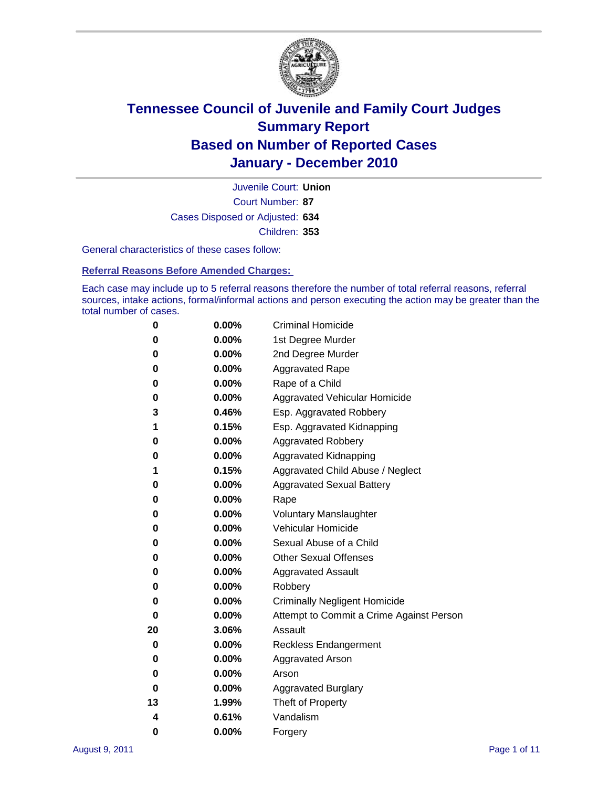

Court Number: **87** Juvenile Court: **Union** Cases Disposed or Adjusted: **634** Children: **353**

General characteristics of these cases follow:

**Referral Reasons Before Amended Charges:** 

Each case may include up to 5 referral reasons therefore the number of total referral reasons, referral sources, intake actions, formal/informal actions and person executing the action may be greater than the total number of cases.

| 0  | $0.00\%$ | <b>Criminal Homicide</b>                 |
|----|----------|------------------------------------------|
| 0  | 0.00%    | 1st Degree Murder                        |
| 0  | 0.00%    | 2nd Degree Murder                        |
| 0  | 0.00%    | <b>Aggravated Rape</b>                   |
| 0  | 0.00%    | Rape of a Child                          |
| 0  | 0.00%    | Aggravated Vehicular Homicide            |
| 3  | 0.46%    | Esp. Aggravated Robbery                  |
| 1  | 0.15%    | Esp. Aggravated Kidnapping               |
| 0  | 0.00%    | <b>Aggravated Robbery</b>                |
| 0  | 0.00%    | Aggravated Kidnapping                    |
| 1  | 0.15%    | Aggravated Child Abuse / Neglect         |
| 0  | 0.00%    | <b>Aggravated Sexual Battery</b>         |
| 0  | 0.00%    | Rape                                     |
| 0  | $0.00\%$ | <b>Voluntary Manslaughter</b>            |
| 0  | 0.00%    | Vehicular Homicide                       |
| 0  | 0.00%    | Sexual Abuse of a Child                  |
| 0  | 0.00%    | <b>Other Sexual Offenses</b>             |
| 0  | 0.00%    | <b>Aggravated Assault</b>                |
| 0  | 0.00%    | Robbery                                  |
| 0  | 0.00%    | <b>Criminally Negligent Homicide</b>     |
| 0  | 0.00%    | Attempt to Commit a Crime Against Person |
| 20 | 3.06%    | Assault                                  |
| 0  | 0.00%    | <b>Reckless Endangerment</b>             |
| 0  | 0.00%    | <b>Aggravated Arson</b>                  |
| 0  | 0.00%    | Arson                                    |
| 0  | $0.00\%$ | <b>Aggravated Burglary</b>               |
| 13 | 1.99%    | Theft of Property                        |
| 4  | 0.61%    | Vandalism                                |
| 0  | 0.00%    | Forgery                                  |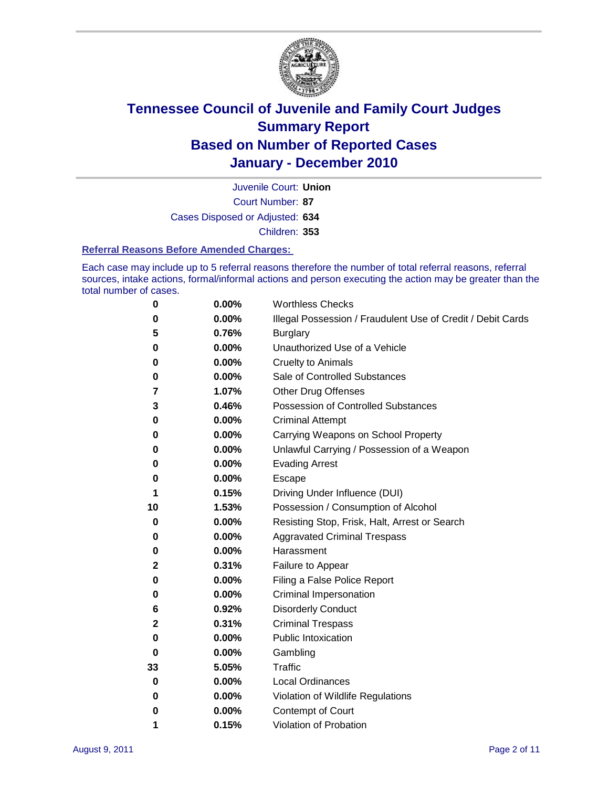

Court Number: **87** Juvenile Court: **Union** Cases Disposed or Adjusted: **634** Children: **353**

#### **Referral Reasons Before Amended Charges:**

Each case may include up to 5 referral reasons therefore the number of total referral reasons, referral sources, intake actions, formal/informal actions and person executing the action may be greater than the total number of cases.

| 0  | 0.00% | <b>Worthless Checks</b>                                     |
|----|-------|-------------------------------------------------------------|
| 0  | 0.00% | Illegal Possession / Fraudulent Use of Credit / Debit Cards |
| 5  | 0.76% | <b>Burglary</b>                                             |
| 0  | 0.00% | Unauthorized Use of a Vehicle                               |
| 0  | 0.00% | <b>Cruelty to Animals</b>                                   |
| 0  | 0.00% | Sale of Controlled Substances                               |
| 7  | 1.07% | <b>Other Drug Offenses</b>                                  |
| 3  | 0.46% | <b>Possession of Controlled Substances</b>                  |
| 0  | 0.00% | <b>Criminal Attempt</b>                                     |
| 0  | 0.00% | Carrying Weapons on School Property                         |
| 0  | 0.00% | Unlawful Carrying / Possession of a Weapon                  |
| 0  | 0.00% | <b>Evading Arrest</b>                                       |
| 0  | 0.00% | Escape                                                      |
| 1  | 0.15% | Driving Under Influence (DUI)                               |
| 10 | 1.53% | Possession / Consumption of Alcohol                         |
| 0  | 0.00% | Resisting Stop, Frisk, Halt, Arrest or Search               |
| 0  | 0.00% | <b>Aggravated Criminal Trespass</b>                         |
| 0  | 0.00% | Harassment                                                  |
| 2  | 0.31% | Failure to Appear                                           |
| 0  | 0.00% | Filing a False Police Report                                |
| 0  | 0.00% | Criminal Impersonation                                      |
| 6  | 0.92% | <b>Disorderly Conduct</b>                                   |
| 2  | 0.31% | <b>Criminal Trespass</b>                                    |
| 0  | 0.00% | <b>Public Intoxication</b>                                  |
| 0  | 0.00% | Gambling                                                    |
| 33 | 5.05% | <b>Traffic</b>                                              |
| 0  | 0.00% | <b>Local Ordinances</b>                                     |
| 0  | 0.00% | Violation of Wildlife Regulations                           |
| 0  | 0.00% | Contempt of Court                                           |
| 1  | 0.15% | Violation of Probation                                      |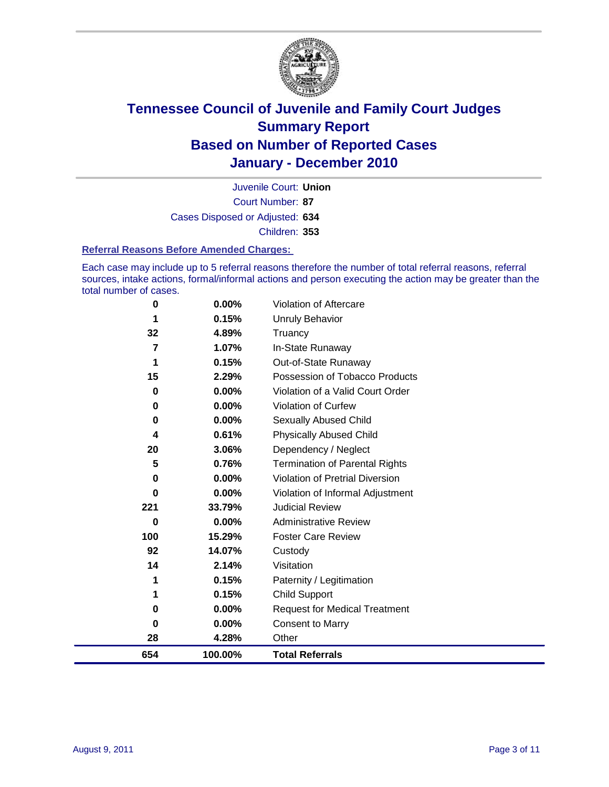

Court Number: **87** Juvenile Court: **Union** Cases Disposed or Adjusted: **634** Children: **353**

### **Referral Reasons Before Amended Charges:**

Each case may include up to 5 referral reasons therefore the number of total referral reasons, referral sources, intake actions, formal/informal actions and person executing the action may be greater than the total number of cases.

| 0        | 0.00%    | Violation of Aftercare                 |
|----------|----------|----------------------------------------|
|          | 0.15%    | <b>Unruly Behavior</b>                 |
| 32       | 4.89%    | Truancy                                |
| 7        | 1.07%    | In-State Runaway                       |
| 1        | 0.15%    | Out-of-State Runaway                   |
| 15       | 2.29%    | Possession of Tobacco Products         |
| 0        | $0.00\%$ | Violation of a Valid Court Order       |
| 0        | $0.00\%$ | <b>Violation of Curfew</b>             |
| $\bf{0}$ | $0.00\%$ | Sexually Abused Child                  |
| 4        | 0.61%    | <b>Physically Abused Child</b>         |
| 20       | 3.06%    | Dependency / Neglect                   |
| 5        | 0.76%    | <b>Termination of Parental Rights</b>  |
| 0        | 0.00%    | <b>Violation of Pretrial Diversion</b> |
| 0        | 0.00%    | Violation of Informal Adjustment       |
| 221      | 33.79%   | <b>Judicial Review</b>                 |
| $\bf{0}$ | 0.00%    | <b>Administrative Review</b>           |
| 100      | 15.29%   | <b>Foster Care Review</b>              |
| 92       | 14.07%   | Custody                                |
| 14       | 2.14%    | Visitation                             |
| 1        | 0.15%    | Paternity / Legitimation               |
| 1        | 0.15%    | Child Support                          |
| 0        | 0.00%    | <b>Request for Medical Treatment</b>   |
| 0        | $0.00\%$ | <b>Consent to Marry</b>                |
| 28       | 4.28%    | Other                                  |
| 654      | 100.00%  | <b>Total Referrals</b>                 |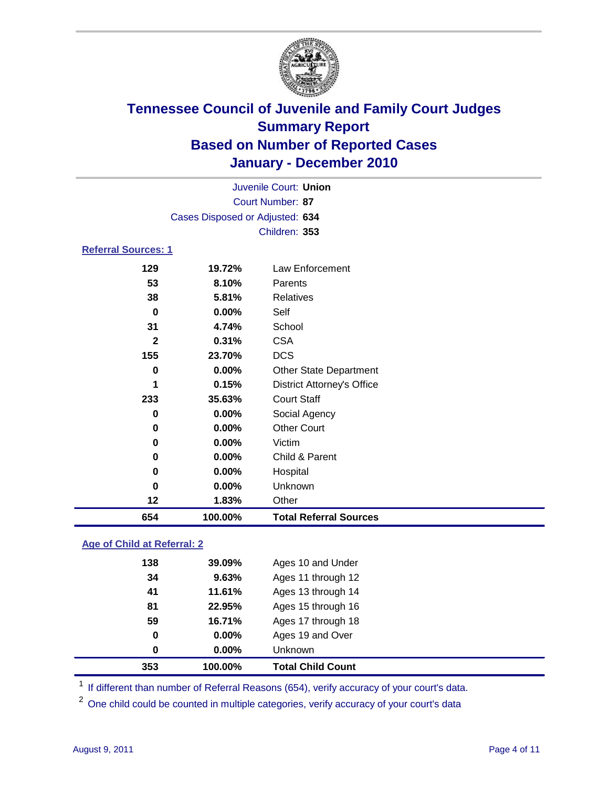

|                            |                                 | Juvenile Court: Union             |  |  |  |
|----------------------------|---------------------------------|-----------------------------------|--|--|--|
|                            | Court Number: 87                |                                   |  |  |  |
|                            | Cases Disposed or Adjusted: 634 |                                   |  |  |  |
|                            |                                 | Children: 353                     |  |  |  |
| <b>Referral Sources: 1</b> |                                 |                                   |  |  |  |
| 129                        | 19.72%                          | Law Enforcement                   |  |  |  |
| 53                         | 8.10%                           | Parents                           |  |  |  |
| 38                         | 5.81%                           | <b>Relatives</b>                  |  |  |  |
| $\bf{0}$                   | 0.00%                           | Self                              |  |  |  |
| 31                         | 4.74%                           | School                            |  |  |  |
| $\overline{2}$             | 0.31%                           | <b>CSA</b>                        |  |  |  |
| 155                        | 23.70%                          | <b>DCS</b>                        |  |  |  |
| 0                          | 0.00%                           | Other State Department            |  |  |  |
| 1                          | 0.15%                           | <b>District Attorney's Office</b> |  |  |  |
| 233                        | 35.63%                          | <b>Court Staff</b>                |  |  |  |
| 0                          | 0.00%                           | Social Agency                     |  |  |  |
| 0                          | $0.00\%$                        | <b>Other Court</b>                |  |  |  |
| 0                          | 0.00%                           | Victim                            |  |  |  |
| 0                          | 0.00%                           | Child & Parent                    |  |  |  |
| $\bf{0}$                   | $0.00\%$                        | Hospital                          |  |  |  |
| 0                          | 0.00%                           | Unknown                           |  |  |  |
| 12                         | 1.83%                           | Other                             |  |  |  |
| 654                        | 100.00%                         | <b>Total Referral Sources</b>     |  |  |  |

### **Age of Child at Referral: 2**

| 353 | 100.00% | <b>Total Child Count</b> |  |
|-----|---------|--------------------------|--|
| 0   | 0.00%   | <b>Unknown</b>           |  |
| 0   | 0.00%   | Ages 19 and Over         |  |
| 59  | 16.71%  | Ages 17 through 18       |  |
| 81  | 22.95%  | Ages 15 through 16       |  |
| 41  | 11.61%  | Ages 13 through 14       |  |
| 34  | 9.63%   | Ages 11 through 12       |  |
| 138 | 39.09%  | Ages 10 and Under        |  |
|     |         |                          |  |

<sup>1</sup> If different than number of Referral Reasons (654), verify accuracy of your court's data.

<sup>2</sup> One child could be counted in multiple categories, verify accuracy of your court's data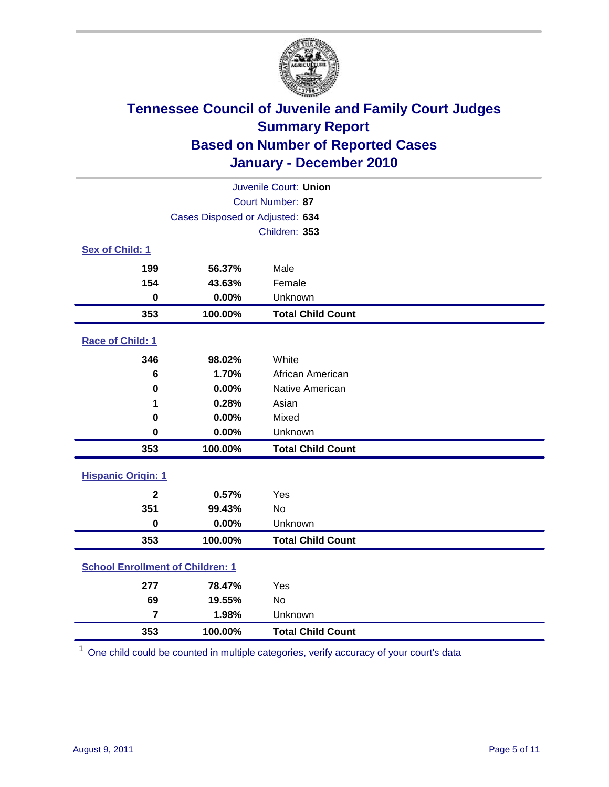

| Juvenile Court: Union                   |                                 |                          |  |  |
|-----------------------------------------|---------------------------------|--------------------------|--|--|
| Court Number: 87                        |                                 |                          |  |  |
|                                         | Cases Disposed or Adjusted: 634 |                          |  |  |
|                                         |                                 | Children: 353            |  |  |
| Sex of Child: 1                         |                                 |                          |  |  |
| 199                                     | 56.37%                          | Male                     |  |  |
| 154                                     | 43.63%                          | Female                   |  |  |
| $\mathbf 0$                             | 0.00%                           | Unknown                  |  |  |
| 353                                     | 100.00%                         | <b>Total Child Count</b> |  |  |
| Race of Child: 1                        |                                 |                          |  |  |
| 346                                     | 98.02%                          | White                    |  |  |
| 6                                       | 1.70%                           | African American         |  |  |
| $\mathbf 0$                             | 0.00%                           | Native American          |  |  |
| 1                                       | 0.28%                           | Asian                    |  |  |
| 0                                       | 0.00%                           | Mixed                    |  |  |
| $\mathbf 0$                             | 0.00%                           | Unknown                  |  |  |
| 353                                     | 100.00%                         | <b>Total Child Count</b> |  |  |
| <b>Hispanic Origin: 1</b>               |                                 |                          |  |  |
| $\mathbf{2}$                            | 0.57%                           | Yes                      |  |  |
| 351                                     | 99.43%                          | No                       |  |  |
| $\mathbf 0$                             | 0.00%                           | Unknown                  |  |  |
| 353                                     | 100.00%                         | <b>Total Child Count</b> |  |  |
| <b>School Enrollment of Children: 1</b> |                                 |                          |  |  |
| 277                                     | 78.47%                          | Yes                      |  |  |
| 69                                      | 19.55%                          | No                       |  |  |
| $\overline{7}$                          | 1.98%                           | Unknown                  |  |  |
| 353                                     | 100.00%                         | <b>Total Child Count</b> |  |  |

One child could be counted in multiple categories, verify accuracy of your court's data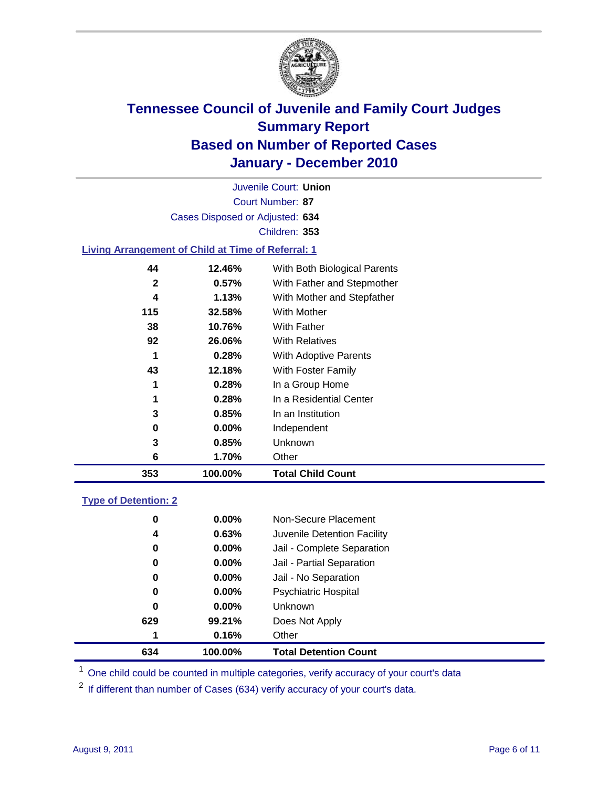

Court Number: **87** Juvenile Court: **Union** Cases Disposed or Adjusted: **634** Children: **353**

### **Living Arrangement of Child at Time of Referral: 1**

| 353 | 100.00% | <b>Total Child Count</b>     |
|-----|---------|------------------------------|
| 6   | 1.70%   | Other                        |
| 3   | 0.85%   | <b>Unknown</b>               |
| 0   | 0.00%   | Independent                  |
| 3   | 0.85%   | In an Institution            |
| 1   | 0.28%   | In a Residential Center      |
| 1   | 0.28%   | In a Group Home              |
| 43  | 12.18%  | With Foster Family           |
| 1   | 0.28%   | With Adoptive Parents        |
| 92  | 26.06%  | <b>With Relatives</b>        |
| 38  | 10.76%  | <b>With Father</b>           |
| 115 | 32.58%  | With Mother                  |
| 4   | 1.13%   | With Mother and Stepfather   |
| 2   | 0.57%   | With Father and Stepmother   |
| 44  | 12.46%  | With Both Biological Parents |
|     |         |                              |

### **Type of Detention: 2**

| 634      | 100.00%  | <b>Total Detention Count</b> |
|----------|----------|------------------------------|
| 1        | 0.16%    | Other                        |
| 629      | 99.21%   | Does Not Apply               |
| 0        | $0.00\%$ | Unknown                      |
| 0        | 0.00%    | <b>Psychiatric Hospital</b>  |
| $\bf{0}$ | 0.00%    | Jail - No Separation         |
| 0        | $0.00\%$ | Jail - Partial Separation    |
| 0        | $0.00\%$ | Jail - Complete Separation   |
| 4        | 0.63%    | Juvenile Detention Facility  |
| 0        | $0.00\%$ | Non-Secure Placement         |
|          |          |                              |

<sup>1</sup> One child could be counted in multiple categories, verify accuracy of your court's data

<sup>2</sup> If different than number of Cases (634) verify accuracy of your court's data.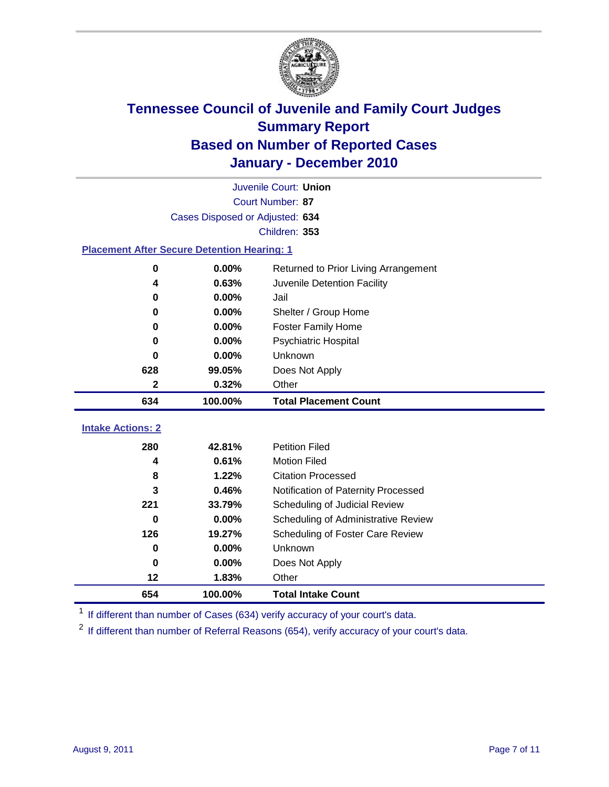

|                                                    | Juvenile Court: Union           |                                      |  |  |  |
|----------------------------------------------------|---------------------------------|--------------------------------------|--|--|--|
|                                                    | Court Number: 87                |                                      |  |  |  |
|                                                    | Cases Disposed or Adjusted: 634 |                                      |  |  |  |
|                                                    |                                 | Children: 353                        |  |  |  |
| <b>Placement After Secure Detention Hearing: 1</b> |                                 |                                      |  |  |  |
| $\mathbf 0$                                        | 0.00%                           | Returned to Prior Living Arrangement |  |  |  |
| 4                                                  | 0.63%                           | Juvenile Detention Facility          |  |  |  |
| $\bf{0}$                                           | 0.00%                           | Jail                                 |  |  |  |
| 0                                                  | 0.00%                           | Shelter / Group Home                 |  |  |  |
| 0                                                  | 0.00%                           | Foster Family Home                   |  |  |  |
| 0                                                  | 0.00%                           | Psychiatric Hospital                 |  |  |  |
| 0                                                  | $0.00\%$                        | Unknown                              |  |  |  |
| 628                                                | 99.05%                          | Does Not Apply                       |  |  |  |
| 2                                                  | 0.32%                           | Other                                |  |  |  |
| 634                                                | 100.00%                         | <b>Total Placement Count</b>         |  |  |  |
| <b>Intake Actions: 2</b>                           |                                 |                                      |  |  |  |
|                                                    |                                 |                                      |  |  |  |
| 280                                                | 42.81%                          | <b>Petition Filed</b>                |  |  |  |
| 4                                                  | 0.61%                           | <b>Motion Filed</b>                  |  |  |  |
| 8                                                  | 1.22%                           | <b>Citation Processed</b>            |  |  |  |
| 3                                                  | 0.46%                           | Notification of Paternity Processed  |  |  |  |
| 221                                                | 33.79%                          | Scheduling of Judicial Review        |  |  |  |
| 0                                                  | 0.00%                           | Scheduling of Administrative Review  |  |  |  |
| 126                                                | 19.27%                          | Scheduling of Foster Care Review     |  |  |  |
| 0                                                  | 0.00%                           | Unknown                              |  |  |  |
| 0                                                  | 0.00%                           | Does Not Apply                       |  |  |  |
| 12                                                 | 1.83%                           | Other                                |  |  |  |
| 654                                                | 100.00%                         | <b>Total Intake Count</b>            |  |  |  |

<sup>1</sup> If different than number of Cases (634) verify accuracy of your court's data.

<sup>2</sup> If different than number of Referral Reasons (654), verify accuracy of your court's data.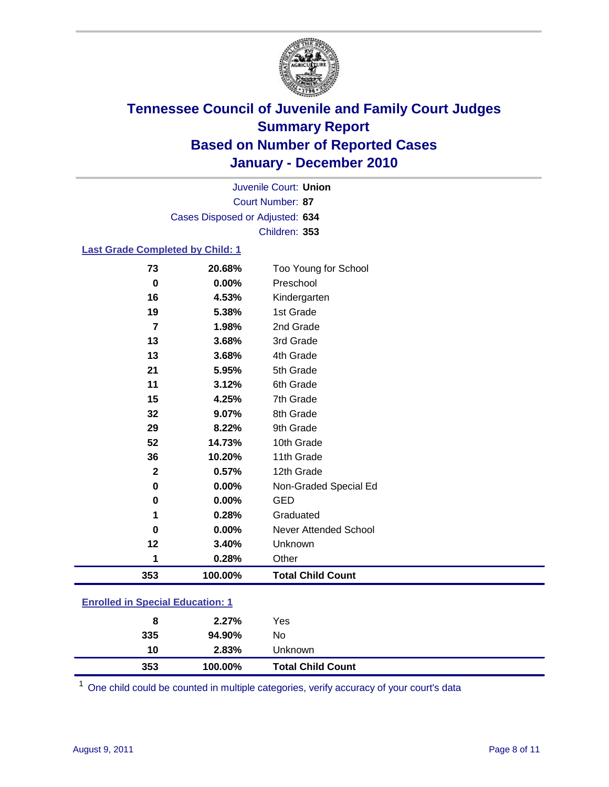

Court Number: **87** Juvenile Court: **Union** Cases Disposed or Adjusted: **634** Children: **353**

### **Last Grade Completed by Child: 1**

| 73                                      | 20.68%  | Too Young for School         |  |
|-----------------------------------------|---------|------------------------------|--|
| 0                                       | 0.00%   | Preschool                    |  |
| 16                                      | 4.53%   | Kindergarten                 |  |
| 19                                      | 5.38%   | 1st Grade                    |  |
| 7                                       | 1.98%   | 2nd Grade                    |  |
| 13                                      | 3.68%   | 3rd Grade                    |  |
| 13                                      | 3.68%   | 4th Grade                    |  |
| 21                                      | 5.95%   | 5th Grade                    |  |
| 11                                      | 3.12%   | 6th Grade                    |  |
| 15                                      | 4.25%   | 7th Grade                    |  |
| 32                                      | 9.07%   | 8th Grade                    |  |
| 29                                      | 8.22%   | 9th Grade                    |  |
| 52                                      | 14.73%  | 10th Grade                   |  |
| 36                                      | 10.20%  | 11th Grade                   |  |
| $\mathbf 2$                             | 0.57%   | 12th Grade                   |  |
| 0                                       | 0.00%   | Non-Graded Special Ed        |  |
| 0                                       | 0.00%   | <b>GED</b>                   |  |
| 1                                       | 0.28%   | Graduated                    |  |
| 0                                       | 0.00%   | <b>Never Attended School</b> |  |
| 12                                      | 3.40%   | Unknown                      |  |
| 1                                       | 0.28%   | Other                        |  |
| 353                                     | 100.00% | <b>Total Child Count</b>     |  |
| <b>Enrolled in Special Education: 1</b> |         |                              |  |

| 353 | 100.00% | <b>Total Child Count</b> |  |
|-----|---------|--------------------------|--|
| 10  | 2.83%   | Unknown                  |  |
| 335 | 94.90%  | No                       |  |
| 8   | 2.27%   | Yes                      |  |
|     |         |                          |  |

One child could be counted in multiple categories, verify accuracy of your court's data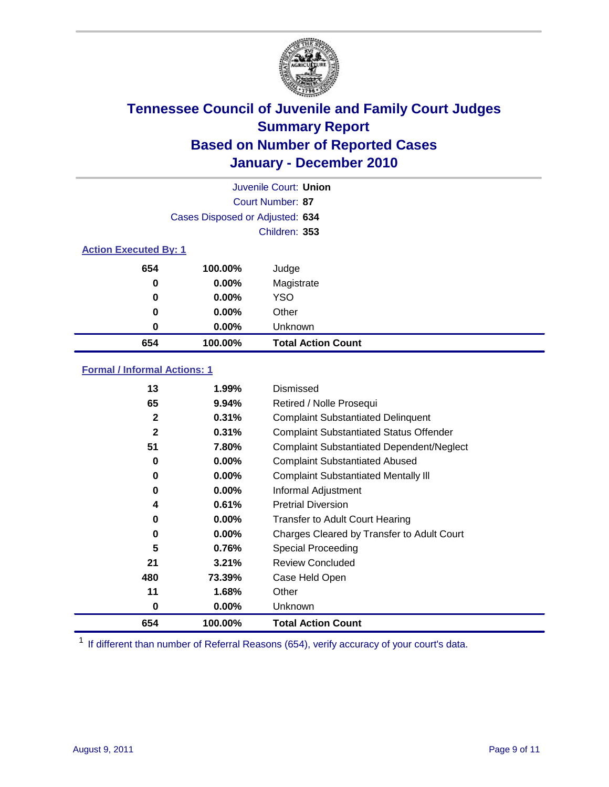

|                              | Juvenile Court: Union           |                           |  |  |  |
|------------------------------|---------------------------------|---------------------------|--|--|--|
|                              | Court Number: 87                |                           |  |  |  |
|                              | Cases Disposed or Adjusted: 634 |                           |  |  |  |
|                              | Children: 353                   |                           |  |  |  |
| <b>Action Executed By: 1</b> |                                 |                           |  |  |  |
| 654                          | 100.00%                         | Judge                     |  |  |  |
| $\bf{0}$                     | 0.00%                           | Magistrate                |  |  |  |
| $\bf{0}$                     | 0.00%                           | <b>YSO</b>                |  |  |  |
| 0                            | 0.00%                           | Other                     |  |  |  |
| 0                            | 0.00%                           | Unknown                   |  |  |  |
| 654                          | 100.00%                         | <b>Total Action Count</b> |  |  |  |

### **Formal / Informal Actions: 1**

| 13           | 1.99%    | Dismissed                                        |
|--------------|----------|--------------------------------------------------|
| 65           | 9.94%    | Retired / Nolle Prosequi                         |
| 2            | 0.31%    | <b>Complaint Substantiated Delinquent</b>        |
| $\mathbf{2}$ | 0.31%    | <b>Complaint Substantiated Status Offender</b>   |
| 51           | 7.80%    | <b>Complaint Substantiated Dependent/Neglect</b> |
| 0            | $0.00\%$ | <b>Complaint Substantiated Abused</b>            |
| 0            | $0.00\%$ | <b>Complaint Substantiated Mentally III</b>      |
| 0            | $0.00\%$ | Informal Adjustment                              |
| 4            | 0.61%    | <b>Pretrial Diversion</b>                        |
| 0            | $0.00\%$ | <b>Transfer to Adult Court Hearing</b>           |
| 0            | $0.00\%$ | Charges Cleared by Transfer to Adult Court       |
| 5            | 0.76%    | <b>Special Proceeding</b>                        |
| 21           | 3.21%    | <b>Review Concluded</b>                          |
| 480          | 73.39%   | Case Held Open                                   |
| 11           | 1.68%    | Other                                            |
| 0            | $0.00\%$ | Unknown                                          |
| 654          | 100.00%  | <b>Total Action Count</b>                        |

<sup>1</sup> If different than number of Referral Reasons (654), verify accuracy of your court's data.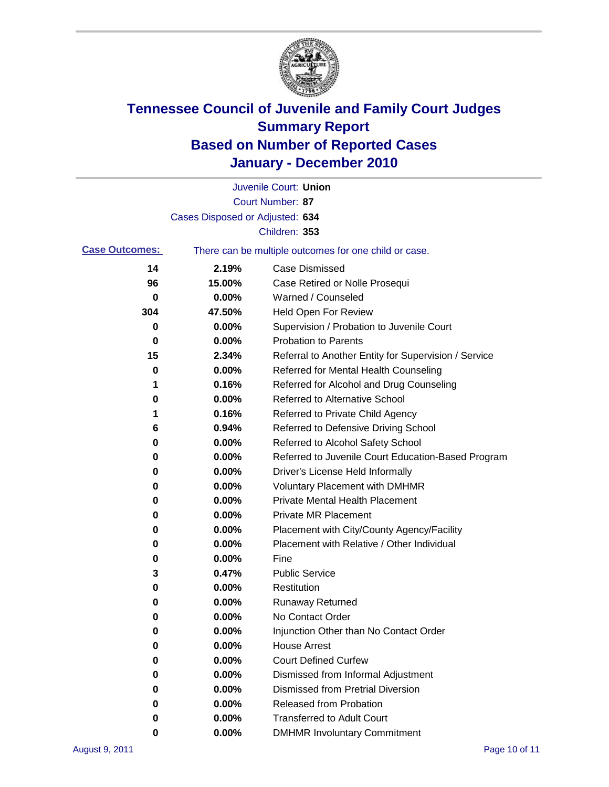

|                       |                                 | Juvenile Court: Union                                 |
|-----------------------|---------------------------------|-------------------------------------------------------|
|                       |                                 | Court Number: 87                                      |
|                       | Cases Disposed or Adjusted: 634 |                                                       |
|                       |                                 | Children: 353                                         |
| <b>Case Outcomes:</b> |                                 | There can be multiple outcomes for one child or case. |
| 14                    | 2.19%                           | <b>Case Dismissed</b>                                 |
| 96                    | 15.00%                          | Case Retired or Nolle Prosequi                        |
| 0                     | 0.00%                           | Warned / Counseled                                    |
| 304                   | 47.50%                          | Held Open For Review                                  |
| 0                     | 0.00%                           | Supervision / Probation to Juvenile Court             |
| 0                     | 0.00%                           | <b>Probation to Parents</b>                           |
| 15                    | 2.34%                           | Referral to Another Entity for Supervision / Service  |
| 0                     | 0.00%                           | Referred for Mental Health Counseling                 |
| 1                     | 0.16%                           | Referred for Alcohol and Drug Counseling              |
| 0                     | 0.00%                           | <b>Referred to Alternative School</b>                 |
| 1                     | 0.16%                           | Referred to Private Child Agency                      |
| 6                     | 0.94%                           | Referred to Defensive Driving School                  |
| 0                     | 0.00%                           | Referred to Alcohol Safety School                     |
| 0                     | 0.00%                           | Referred to Juvenile Court Education-Based Program    |
| 0                     | 0.00%                           | Driver's License Held Informally                      |
| 0                     | 0.00%                           | <b>Voluntary Placement with DMHMR</b>                 |
| 0                     | 0.00%                           | <b>Private Mental Health Placement</b>                |
| 0                     | 0.00%                           | <b>Private MR Placement</b>                           |
| 0                     | 0.00%                           | Placement with City/County Agency/Facility            |
| 0                     | 0.00%                           | Placement with Relative / Other Individual            |
| 0                     | 0.00%                           | Fine                                                  |
| 3                     | 0.47%                           | <b>Public Service</b>                                 |
| 0                     | 0.00%                           | Restitution                                           |
| 0                     | 0.00%                           | Runaway Returned                                      |
| 0                     | 0.00%                           | No Contact Order                                      |
| 0                     | 0.00%                           | Injunction Other than No Contact Order                |
| 0                     | 0.00%                           | <b>House Arrest</b>                                   |
| 0                     | 0.00%                           | <b>Court Defined Curfew</b>                           |
| 0                     | 0.00%                           | Dismissed from Informal Adjustment                    |
| 0                     | 0.00%                           | <b>Dismissed from Pretrial Diversion</b>              |
| 0                     | 0.00%                           | <b>Released from Probation</b>                        |
| 0                     | 0.00%                           | <b>Transferred to Adult Court</b>                     |
| 0                     | $0.00\%$                        | <b>DMHMR Involuntary Commitment</b>                   |